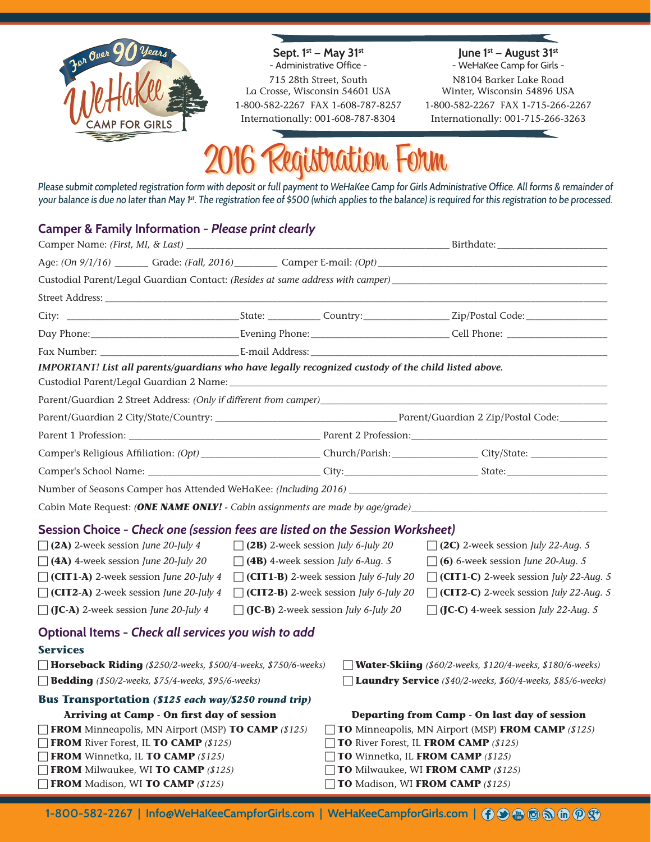

**Sept. 1st — May 31st** - Administrative Office -

715 28th Street, South La Crosse, Wisconsin 54601 USA 1-800-582-2267 FAX 1-608-787-8257 Internationally: 001-608-787-8304

**June 1st — August 31st**  - WeHaKee Camp for Girls -

N8104 Barker Lake Road Winter, Wisconsin 54896 USA 1-800-582-2267 FAX 1-715-266-2267 Internationally: 001-715-266-3263

# 2016 Registration Form

Please submit completed registration form with deposit or full payment to WeHaKee Camp for Girls Administrative Office. All forms & remainder of your balance is due no later than May 1<sup>st</sup>. The registration fee of \$500 (which applies to the balance) is required for this registration to be processed.

## **Camper & Family Information -** *Please print clearly*

| Camper Name: <i>(First, MI, &amp; Last)</i>                                                                    |  |                                               |                                                                                                                                                                                                                                |  |  |  |  |  |
|----------------------------------------------------------------------------------------------------------------|--|-----------------------------------------------|--------------------------------------------------------------------------------------------------------------------------------------------------------------------------------------------------------------------------------|--|--|--|--|--|
| Age: (On 9/1/16) _________ Grade: (Fall, 2016)__________ Camper E-mail: (Opt)_________________________________ |  |                                               |                                                                                                                                                                                                                                |  |  |  |  |  |
|                                                                                                                |  |                                               |                                                                                                                                                                                                                                |  |  |  |  |  |
| Street Address: The Street Street Address:                                                                     |  |                                               |                                                                                                                                                                                                                                |  |  |  |  |  |
|                                                                                                                |  |                                               |                                                                                                                                                                                                                                |  |  |  |  |  |
|                                                                                                                |  |                                               | Day Phone: Cell Phone: Cell Phone: Cell Phone: Cell Phone: Cell Phone: Cell Phone: Cell Phone: Cell Phone: Cell Phone: Cell Phone: Cell Phone: Cell Phone: Cell Phone: Cell Phone: Cell Phone: Cell Phone: Cell Phone: Cell Ph |  |  |  |  |  |
|                                                                                                                |  |                                               |                                                                                                                                                                                                                                |  |  |  |  |  |
| IMPORTANT! List all parents/guardians who have legally recognized custody of the child listed above.           |  |                                               |                                                                                                                                                                                                                                |  |  |  |  |  |
| Parent/Guardian 2 Street Address: (Only if different from camper)________________                              |  |                                               |                                                                                                                                                                                                                                |  |  |  |  |  |
|                                                                                                                |  |                                               |                                                                                                                                                                                                                                |  |  |  |  |  |
|                                                                                                                |  |                                               |                                                                                                                                                                                                                                |  |  |  |  |  |
|                                                                                                                |  |                                               |                                                                                                                                                                                                                                |  |  |  |  |  |
|                                                                                                                |  |                                               |                                                                                                                                                                                                                                |  |  |  |  |  |
|                                                                                                                |  |                                               |                                                                                                                                                                                                                                |  |  |  |  |  |
| Cabin Mate Request: (ONE NAME ONLY! - Cabin assignments are made by age/grade) _______________________________ |  |                                               |                                                                                                                                                                                                                                |  |  |  |  |  |
| Session Choice - Check one (session fees are listed on the Session Worksheet)                                  |  |                                               |                                                                                                                                                                                                                                |  |  |  |  |  |
| $\Box$ (2A) 2-week session June 20-July 4                                                                      |  | $\Box$ (2B) 2-week session July 6-July 20     | $\Box$ (2C) 2-week session July 22-Aug. 5                                                                                                                                                                                      |  |  |  |  |  |
| $\Box$ (4A) 4-week session June 20-July 20                                                                     |  | $\Box$ (4B) 4-week session July 6-Aug. 5      | $\Box$ (6) 6-week session June 20-Aug. 5                                                                                                                                                                                       |  |  |  |  |  |
| $\Box$ (CIT1-A) 2-week session June 20-July 4                                                                  |  | $\Box$ (CIT1-B) 2-week session July 6-July 20 | $\Box$ (CIT1-C) 2-week session July 22-Aug. 5                                                                                                                                                                                  |  |  |  |  |  |
| CIT2-A) 2-week session June 20-July 4                                                                          |  | $\Box$ (CIT2-B) 2-week session July 6-July 20 | CIT2-C) 2-week session July 22-Aug. 5                                                                                                                                                                                          |  |  |  |  |  |
| $\Box$ (JC-A) 2-week session June 20-July 4                                                                    |  | $\Box$ (JC-B) 2-week session July 6-July 20   | $\Box$ (JC-C) 4-week session July 22-Aug. 5                                                                                                                                                                                    |  |  |  |  |  |
| Optional Items - Check all services you wish to add                                                            |  |                                               |                                                                                                                                                                                                                                |  |  |  |  |  |
| <b>Services</b>                                                                                                |  |                                               |                                                                                                                                                                                                                                |  |  |  |  |  |
| Horseback Riding (\$250/2-weeks, \$500/4-weeks, \$750/6-weeks)                                                 |  |                                               | <b>Water-Skiing</b> (\$60/2-weeks, \$120/4-weeks, \$180/6-weeks)                                                                                                                                                               |  |  |  |  |  |
| <b>Bedding</b> (\$50/2-weeks, \$75/4-weeks, \$95/6-weeks)                                                      |  |                                               | □ Laundry Service (\$40/2-weeks, \$60/4-weeks, \$85/6-weeks)                                                                                                                                                                   |  |  |  |  |  |
| Bus Transportation (\$125 each way/\$250 round trip)                                                           |  |                                               |                                                                                                                                                                                                                                |  |  |  |  |  |
| Arriving at Camp - On first day of session                                                                     |  |                                               | Departing from Camp - On last day of session                                                                                                                                                                                   |  |  |  |  |  |
| FROM Minneapolis, MN Airport (MSP) TO CAMP (\$125)                                                             |  |                                               | <b>TO</b> Minneapolis, MN Airport (MSP) FROM CAMP (\$125)                                                                                                                                                                      |  |  |  |  |  |
| <b>FROM</b> River Forest, IL TO CAMP (\$125)                                                                   |  |                                               | <b>TO</b> River Forest, IL FROM CAMP (\$125)                                                                                                                                                                                   |  |  |  |  |  |
| FROM Winnetka, IL TO CAMP (\$125)                                                                              |  |                                               | TO Winnetka, IL FROM CAMP (\$125)                                                                                                                                                                                              |  |  |  |  |  |
| <b>FROM</b> Milwaukee, WI TO CAMP (\$125)                                                                      |  |                                               | TO Milwaukee, WI FROM CAMP (\$125)                                                                                                                                                                                             |  |  |  |  |  |
| FROM Madison, WI TO CAMP (\$125)                                                                               |  |                                               | TO Madison, WI FROM CAMP (\$125)                                                                                                                                                                                               |  |  |  |  |  |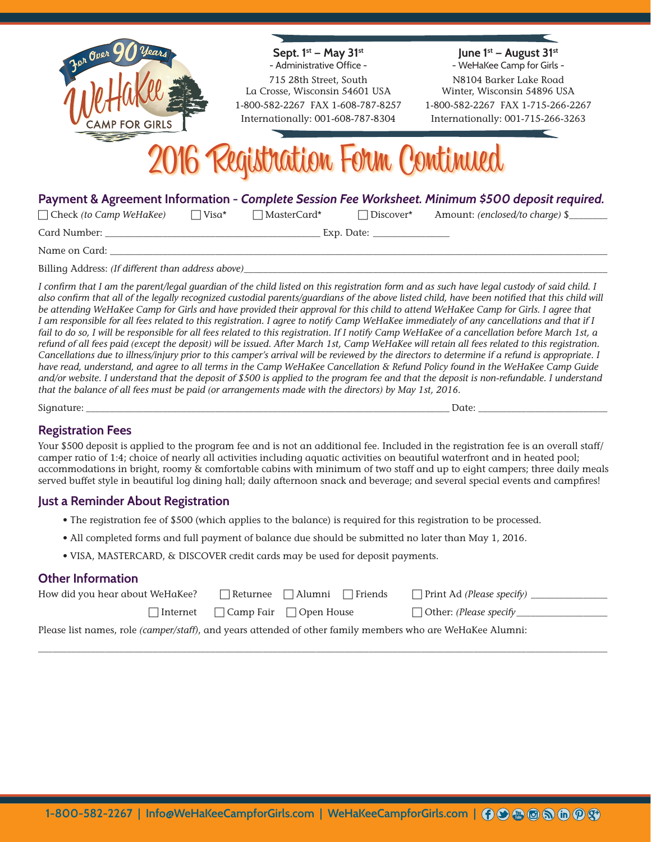

Name on Card: *\_\_\_\_\_\_\_\_\_\_\_\_\_\_\_\_\_\_\_\_\_\_\_\_\_\_\_\_\_\_\_\_\_\_\_\_\_\_\_\_\_\_\_\_\_\_\_\_\_\_\_\_\_\_\_\_\_\_\_\_\_\_\_\_\_\_\_\_\_\_\_\_\_\_\_\_\_\_\_\_\_\_\_\_\_\_\_\_\_\_\_\_\_\_\_\_\_\_\_\_\_\_\_\_*

Billing Address: *(If different than address above)\_* 

*I confirm that I am the parent/legal guardian of the child listed on this registration form and as such have legal custody of said child. I*  also confirm that all of the legally recognized custodial parents/guardians of the above listed child, have been notified that this child will *be attending WeHaKee Camp for Girls and have provided their approval for this child to attend WeHaKee Camp for Girls. I agree that I am responsible for all fees related to this registration. I agree to notify Camp WeHaKee immediately of any cancellations and that if I*  fail to do so, I will be responsible for all fees related to this registration. If I notify Camp WeHaKee of a cancellation before March 1st, a *refund of all fees paid (except the deposit) will be issued. After March 1st, Camp WeHaKee will retain all fees related to this registration. Cancellations due to illness/injury prior to this camper's arrival will be reviewed by the directors to determine if a refund is appropriate. I have read, understand, and agree to all terms in the Camp WeHaKee Cancellation & Refund Policy found in the WeHaKee Camp Guide and/or website. I understand that the deposit of \$500 is applied to the program fee and that the deposit is non-refundable. I understand that the balance of all fees must be paid (or arrangements made with the directors) by May 1st, 2016.*

Signature: \_\_\_\_\_\_\_\_\_\_\_\_\_\_\_\_\_\_\_\_\_\_\_\_\_\_\_\_\_\_\_\_\_\_\_\_\_\_\_\_\_\_\_\_\_\_\_\_\_\_\_\_\_\_\_\_\_\_\_\_\_\_\_\_\_\_\_\_\_\_\_\_\_\_\_\_ Date: \_\_\_\_\_\_\_\_\_\_\_\_\_\_\_\_\_\_\_\_\_\_\_\_\_\_\_

### **Registration Fees**

Your \$500 deposit is applied to the program fee and is not an additional fee. Included in the registration fee is an overall staff/ camper ratio of 1:4; choice of nearly all activities including aquatic activities on beautiful waterfront and in heated pool; accommodations in bright, roomy & comfortable cabins with minimum of two staff and up to eight campers; three daily meals served buffet style in beautiful log dining hall; daily afternoon snack and beverage; and several special events and campfires!

#### **Just a Reminder About Registration**

- The registration fee of \$500 (which applies to the balance) is required for this registration to be processed.
- All completed forms and full payment of balance due should be submitted no later than May 1, 2016.
- VISA, MASTERCARD, & DISCOVER credit cards may be used for deposit payments.

#### **Other Information**

| How did you hear about WeHaKee?                                                                                    |  | ■ Returnee → Alumni → Friends                        | $\Box$ Print Ad (Please specify) |  |  |  |  |  |
|--------------------------------------------------------------------------------------------------------------------|--|------------------------------------------------------|----------------------------------|--|--|--|--|--|
|                                                                                                                    |  | $\lceil$ Internet $\Box$ Camp Fair $\Box$ Open House | $\Box$ Other: (Please specify    |  |  |  |  |  |
| Please list names, role <i>(camper/staff)</i> , and years attended of other family members who are WeHaKee Alumni: |  |                                                      |                                  |  |  |  |  |  |

\_\_\_\_\_\_\_\_\_\_\_\_\_\_\_\_\_\_\_\_\_\_\_\_\_\_\_\_\_\_\_\_\_\_\_\_\_\_\_\_\_\_\_\_\_\_\_\_\_\_\_\_\_\_\_\_\_\_\_\_\_\_\_\_\_\_\_\_\_\_\_\_\_\_\_\_\_\_\_\_\_\_\_\_\_\_\_\_\_\_\_\_\_\_\_\_\_\_\_\_\_\_\_\_\_\_\_\_\_\_\_\_\_\_\_\_\_\_\_